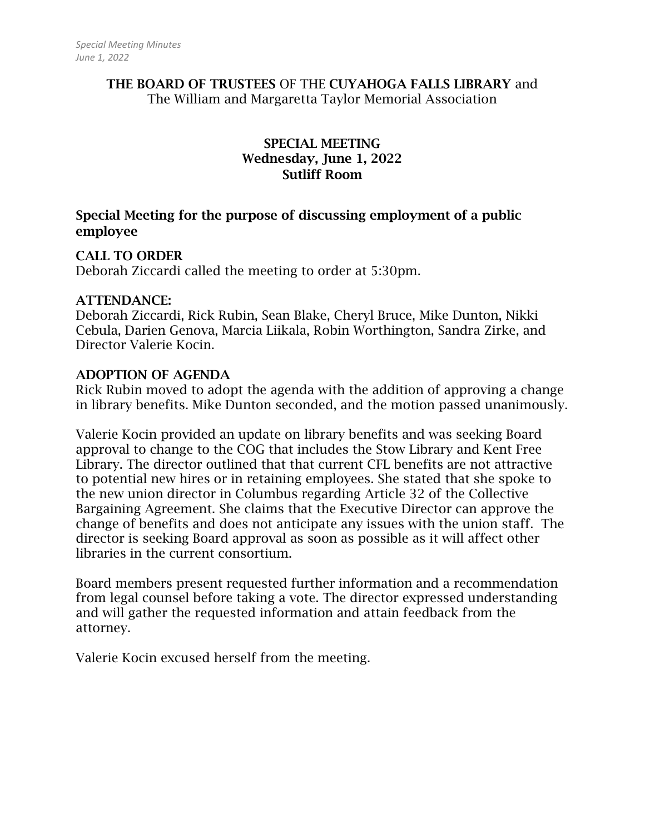#### THE BOARD OF TRUSTEES OF THE CUYAHOGA FALLS LIBRARY and The William and Margaretta Taylor Memorial Association

# SPECIAL MEETING Wednesday, June 1, 2022 Sutliff Room

# Special Meeting for the purpose of discussing employment of a public employee

### CALL TO ORDER

Deborah Ziccardi called the meeting to order at 5:30pm.

### ATTENDANCE:

Deborah Ziccardi, Rick Rubin, Sean Blake, Cheryl Bruce, Mike Dunton, Nikki Cebula, Darien Genova, Marcia Liikala, Robin Worthington, Sandra Zirke, and Director Valerie Kocin.

### ADOPTION OF AGENDA

Rick Rubin moved to adopt the agenda with the addition of approving a change in library benefits. Mike Dunton seconded, and the motion passed unanimously.

Valerie Kocin provided an update on library benefits and was seeking Board approval to change to the COG that includes the Stow Library and Kent Free Library. The director outlined that that current CFL benefits are not attractive to potential new hires or in retaining employees. She stated that she spoke to the new union director in Columbus regarding Article 32 of the Collective Bargaining Agreement. She claims that the Executive Director can approve the change of benefits and does not anticipate any issues with the union staff. The director is seeking Board approval as soon as possible as it will affect other libraries in the current consortium.

Board members present requested further information and a recommendation from legal counsel before taking a vote. The director expressed understanding and will gather the requested information and attain feedback from the attorney.

Valerie Kocin excused herself from the meeting.